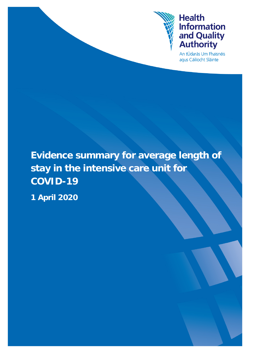

# **Health Information** and Quality<br>Authority

An tÚdarás Um Fhaisnéis agus Cáilíocht Sláinte

## **Evidence summary for average length of stay in the intensive care unit for COVID-19**

**1 April 2020**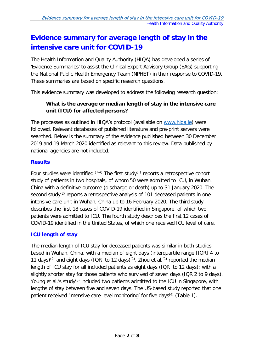## **Evidence summary for average length of stay in the intensive care unit for COVID-19**

The Health Information and Quality Authority (HIQA) has developed a series of 'Evidence Summaries' to assist the Clinical Expert Advisory Group (EAG) supporting the National Public Health Emergency Team (NPHET) in their response to COVID-19. These summaries are based on specific research questions.

This evidence summary was developed to address the following research question:

### **What is the average or median length of stay in the intensive care unit (ICU) for affected persons?**

The processes as outlined in HIQA's protocol (available on [www.hiqa.ie\)](http://www.hiqa.ie/) were followed. Relevant databases of published literature and pre-print servers were searched. Below is the summary of the evidence published between 30 December 2019 and 19 March 2020 identified as relevant to this review. Data published by national agencies are not included.

#### **Results**

Four studies were identified.<sup> $(1-4)$ </sup> The first study<sup> $(1)$ </sup> reports a retrospective cohort study of patients in two hospitals, of whom 50 were admitted to ICU, in Wuhan, China with a definitive outcome (discharge or death) up to 31 January 2020. The second study<sup>(2)</sup> reports a retrospective analysis of 101 deceased patients in one intensive care unit in Wuhan, China up to 16 February 2020. The third study describes the first 18 cases of COVID-19 identified in Singapore, of which two patients were admitted to ICU. The fourth study describes the first 12 cases of COVID-19 identified in the United States, of which one received ICU level of care.

#### **ICU length of stay**

The median length of ICU stay for deceased patients was similar in both studies based in Wuhan, China, with a median of eight days (interquartile range [IQR] 4 to 11 days)<sup>(2)</sup> and eight days (IQR to 12 days)<sup>(1)</sup>. Zhou et al.<sup>(1)</sup> reported the median length of ICU stay for all included patients as eight days (IQR to 12 days); with a slightly shorter stay for those patients who survived of seven days (IQR 2 to 9 days). Young et al.'s study<sup>(3)</sup> included two patients admitted to the ICU in Singapore, with lengths of stay between five and seven days. The US-based study reported that one patient received 'intensive care level monitoring' for five days<sup>(4)</sup> (Table 1).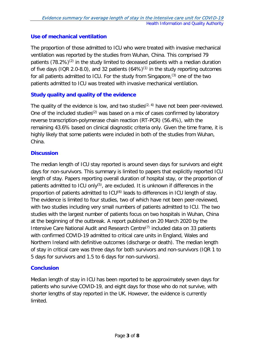#### **Use of mechanical ventilation**

The proportion of those admitted to ICU who were treated with invasive mechanical ventilation was reported by the studies from Wuhan, China. This comprised 79 patients  $(78.2\%)^{(2)}$  in the study limited to deceased patients with a median duration of five days (IQR 2.0-8.0), and 32 patients  $(64%)^{(1)}$  in the study reporting outcomes for all patients admitted to ICU. For the study from Singapore,<sup>(3)</sup> one of the two patients admitted to ICU was treated with invasive mechanical ventilation.

#### **Study quality and quality of the evidence**

The quality of the evidence is low, and two studies<sup> $(2, 4)$ </sup> have not been peer-reviewed. One of the included studies<sup>(2)</sup> was based on a mix of cases confirmed by laboratory reverse transcription-polymerase chain reaction (RT-PCR) (56.4%), with the remaining 43.6% based on clinical diagnostic criteria only. Given the time frame, it is highly likely that some patients were included in both of the studies from Wuhan, China.

#### **Discussion**

The median length of ICU stay reported is around seven days for survivors and eight days for non-survivors. This summary is limited to papers that explicitly reported ICU length of stay. Papers reporting overall duration of hospital stay, or the proportion of patients admitted to ICU only<sup>(5)</sup>, are excluded. It is unknown if differences in the proportion of patients admitted to ICU<sup>(6)</sup> leads to differences in ICU length of stay. The evidence is limited to four studies, two of which have not been peer-reviewed, with two studies including very small numbers of patients admitted to ICU. The two studies with the largest number of patients focus on two hospitals in Wuhan, China at the beginning of the outbreak. A report published on 20 March 2020 by the Intensive Care National Audit and Research Centre $(7)$  included data on 33 patients with confirmed COVID-19 admitted to critical care units in England, Wales and Northern Ireland with definitive outcomes (discharge or death). The median length of stay in critical care was three days for both survivors and non-survivors (IQR 1 to 5 days for survivors and 1.5 to 6 days for non-survivors).

### **Conclusion**

Median length of stay in ICU has been reported to be approximately seven days for patients who survive COVID-19, and eight days for those who do not survive, with shorter lengths of stay reported in the UK. However, the evidence is currently limited.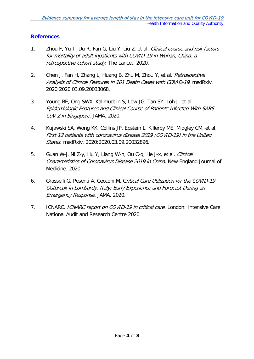#### **References**

- 1. Zhou F, Yu T, Du R, Fan G, Liu Y, Liu Z, et al. Clinical course and risk factors for mortality of adult inpatients with COVID-19 in Wuhan, China: a retrospective cohort study. The Lancet. 2020.
- 2. Chen J, Fan H, Zhang L, Huang B, Zhu M, Zhou Y, et al. Retrospective Analysis of Clinical Features in 101 Death Cases with COVID-19. medRxiv. 2020:2020.03.09.20033068.
- 3. Young BE, Ong SWX, Kalimuddin S, Low JG, Tan SY, Loh J, et al. Epidemiologic Features and Clinical Course of Patients Infected With SARS-CoV-2 in Singapore. JAMA. 2020.
- 4. Kujawski SA, Wong KK, Collins JP, Epstein L, Killerby ME, Midgley CM, et al. First 12 patients with coronavirus disease 2019 (COVID-19) in the United States. medRxiv. 2020:2020.03.09.20032896.
- 5. Guan W-j, Ni Z-y, Hu Y, Liang W-h, Ou C-q, He J-x, et al. *Clinical* Characteristics of Coronavirus Disease 2019 in China. New England Journal of Medicine. 2020.
- 6. Grasselli G, Pesenti A, Cecconi M. Critical Care Utilization for the COVID-19 Outbreak in Lombardy, Italy: Early Experience and Forecast During an Emergency Response. JAMA. 2020.
- 7. ICNARC. ICNARC report on COVID-19 in critical care. London: Intensive Care National Audit and Research Centre 2020.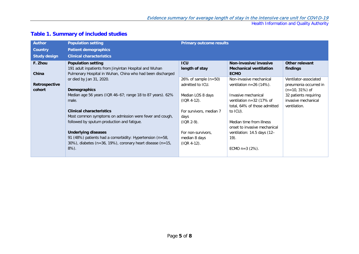Health Information and Quality Authority

| <b>Author</b>       | <b>Population setting</b>                                  | <b>Primary outcome results</b> |                               |                       |
|---------------------|------------------------------------------------------------|--------------------------------|-------------------------------|-----------------------|
| <b>Country</b>      | <b>Patient demographics</b>                                |                                |                               |                       |
| <b>Study design</b> | <b>Clinical characteristics</b>                            |                                |                               |                       |
| F. Zhou             | <b>Population setting</b>                                  | <b>ICU</b>                     | Non-invasive/invasive         | Other relevant        |
|                     | 191 adult inpatients from Jinyintan Hospital and Wuhan     | length of stay                 | <b>Mechanical ventilation</b> | findings              |
| China               | Pulmonary Hospital in Wuhan, China who had been discharged |                                | <b>ECMO</b>                   |                       |
|                     | or died by Jan 31, 2020.                                   | 26% of sample $(n=50)$         | Non-invasive mechanical       | Ventilator-associated |
| Retrospective       |                                                            | admitted to ICU.               | ventilation $n=26$ (14%).     | pneumonia occurred in |
| cohort              | <b>Demographics</b>                                        |                                |                               | $(n=10, 31\%)$ of     |
|                     | Median age 56 years (IQR 46-67; range 18 to 87 years). 62% | Median LOS 8 days              | Invasive mechanical           | 32 patients requiring |
|                     | male.                                                      | $(1QR 4-12)$ .                 | ventilation $n=32$ (17% of    | invasive mechanical   |
|                     |                                                            |                                | total, 64% of those admitted  | ventilation.          |
|                     | <b>Clinical characteristics</b>                            | For survivors, median 7        | to ICU).                      |                       |
|                     | Most common symptoms on admission were fever and cough,    | days                           |                               |                       |
|                     | followed by sputum production and fatigue.                 | $(1QR 2-9)$ .                  | Median time from illness      |                       |
|                     |                                                            |                                | onset to invasive mechanical  |                       |
|                     | <b>Underlying diseases</b>                                 | For non-survivors,             | ventilation: 14.5 days (12-   |                       |
|                     | 91 (48%) patients had a comorbidity: Hypertension (n=58,   | median 8 days                  | 19).                          |                       |
|                     | 30%), diabetes (n=36, 19%), coronary heart disease (n=15,  | $(1QR 4-12)$ .                 |                               |                       |
|                     | $8\%$ ).                                                   |                                | ECMO $n=3$ (2%).              |                       |
|                     |                                                            |                                |                               |                       |

### **Table 1. Summary of included studies**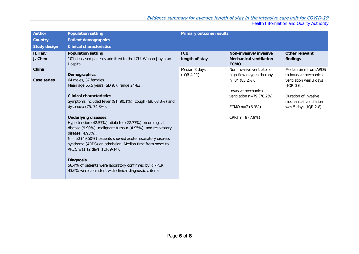#### Evidence summary for average length of stay in the intensive care unit for COVID-19

Health Information and Quality Authority

| <b>Author</b>               | <b>Population setting</b>                                                                                                                                                   | <b>Primary outcome results</b> |                                                                            |                                                                           |
|-----------------------------|-----------------------------------------------------------------------------------------------------------------------------------------------------------------------------|--------------------------------|----------------------------------------------------------------------------|---------------------------------------------------------------------------|
| <b>Country</b>              | <b>Patient demographics</b>                                                                                                                                                 |                                |                                                                            |                                                                           |
| <b>Study design</b>         | <b>Clinical characteristics</b>                                                                                                                                             |                                |                                                                            |                                                                           |
| H. Fan/<br>J. Chen          | <b>Population setting</b><br>101 deceased patients admitted to the ICU, Wuhan Jinyintan<br>Hospital.                                                                        | <b>ICU</b><br>length of stay   | Non-invasive/invasive<br><b>Mechanical ventilation</b><br><b>ECMO</b>      | Other relevant<br>findings                                                |
| China<br><b>Case series</b> | <b>Demographics</b><br>64 males, 37 females.                                                                                                                                | Median 8 days<br>$(IOR 4-11).$ | Non-invasive ventilator or<br>high-flow oxygen therapy<br>$n=84(83.2\%)$ . | Median time from ARDS<br>to invasive mechanical<br>ventilation was 3 days |
|                             | Mean age 65.5 years (SD 9.7, range 24-83).                                                                                                                                  |                                | Invasive mechanical                                                        | $(IOR 0-6).$                                                              |
|                             | <b>Clinical characteristics</b><br>Symptoms included fever (91, 90.1%), cough (69, 68.3%) and<br>dyspnoea (75, 74.3%).                                                      |                                | ventilation $n=79$ (78.2%)<br>ECMO $n=7$ (6.9%)                            | Duration of invasive<br>mechanical ventilation<br>was 5 days (IQR 2-8).   |
|                             | <b>Underlying diseases</b>                                                                                                                                                  |                                | CRRT $n=8$ (7.9%).                                                         |                                                                           |
|                             | Hypertension (42.57%), diabetes (22.77%), neurological<br>disease (9.90%), malignant tumour (4.95%), and respiratory                                                        |                                |                                                                            |                                                                           |
|                             | disease (4.95%).<br>$N = 50$ (49.50%) patients showed acute respiratory distress<br>syndrome (ARDS) on admission. Median time from onset to<br>ARDS was 12 days (IQR 9-14). |                                |                                                                            |                                                                           |
|                             | <b>Diagnosis</b><br>56.4% of patients were laboratory confirmed by RT-PCR,<br>43.6% were consistent with clinical diagnostic criteria.                                      |                                |                                                                            |                                                                           |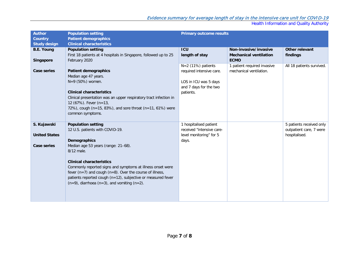#### Evidence summary for average length of stay in the intensive care unit for COVID-19

Health Information and Quality Authority

| <b>Author</b>        | <b>Population setting</b>                                         | <b>Primary outcome results</b> |                               |                           |
|----------------------|-------------------------------------------------------------------|--------------------------------|-------------------------------|---------------------------|
| <b>Country</b>       | <b>Patient demographics</b>                                       |                                |                               |                           |
| <b>Study design</b>  | <b>Clinical characteristics</b>                                   |                                |                               |                           |
| <b>B.E. Young</b>    | <b>Population setting</b>                                         | <b>ICU</b>                     | Non-invasive/invasive         | Other relevant            |
|                      | First 18 patients at 4 hospitals in Singapore, followed up to 25  | length of stay                 | <b>Mechanical ventilation</b> | findings                  |
| <b>Singapore</b>     | February 2020                                                     |                                | <b>ECMO</b>                   |                           |
|                      |                                                                   | $N=2$ (11%) patients           | 1 patient required invasive   | All 18 patients survived. |
| <b>Case series</b>   | <b>Patient demographics</b>                                       | required intensive care.       | mechanical ventilation.       |                           |
|                      | Median age 47 years.                                              |                                |                               |                           |
|                      | N=9 (50%) women.                                                  | LOS in ICU was 5 days          |                               |                           |
|                      |                                                                   | and 7 days for the two         |                               |                           |
|                      | <b>Clinical characteristics</b>                                   | patients.                      |                               |                           |
|                      | Clinical presentation was an upper respiratory tract infection in |                                |                               |                           |
|                      | 12 (67%). Fever (n=13,                                            |                                |                               |                           |
|                      | 72%), cough (n=15, 83%), and sore throat (n=11, 61%) were         |                                |                               |                           |
|                      | common symptoms.                                                  |                                |                               |                           |
| S. Kujawski          | <b>Population setting</b>                                         | 1 hospitalised patient         |                               | 5 patients received only  |
|                      | 12 U.S. patients with COVID-19.                                   | received "intensive care-      |                               | outpatient care, 7 were   |
| <b>United States</b> |                                                                   | level monitoring" for 5        |                               | hospitalised.             |
|                      | <b>Demographics</b>                                               | days.                          |                               |                           |
| <b>Case series</b>   | Median age 53 years (range: 21-68).                               |                                |                               |                           |
|                      | 8/12 male.                                                        |                                |                               |                           |
|                      |                                                                   |                                |                               |                           |
|                      | <b>Clinical characteristics</b>                                   |                                |                               |                           |
|                      | Commonly reported signs and symptoms at illness onset were        |                                |                               |                           |
|                      | fever $(n=7)$ and cough $(n=8)$ . Over the course of illness,     |                                |                               |                           |
|                      | patients reported cough (n=12), subjective or measured fever      |                                |                               |                           |
|                      | $(n=9)$ , diarrhoea $(n=3)$ , and vomiting $(n=2)$ .              |                                |                               |                           |
|                      |                                                                   |                                |                               |                           |
|                      |                                                                   |                                |                               |                           |
|                      |                                                                   |                                |                               |                           |